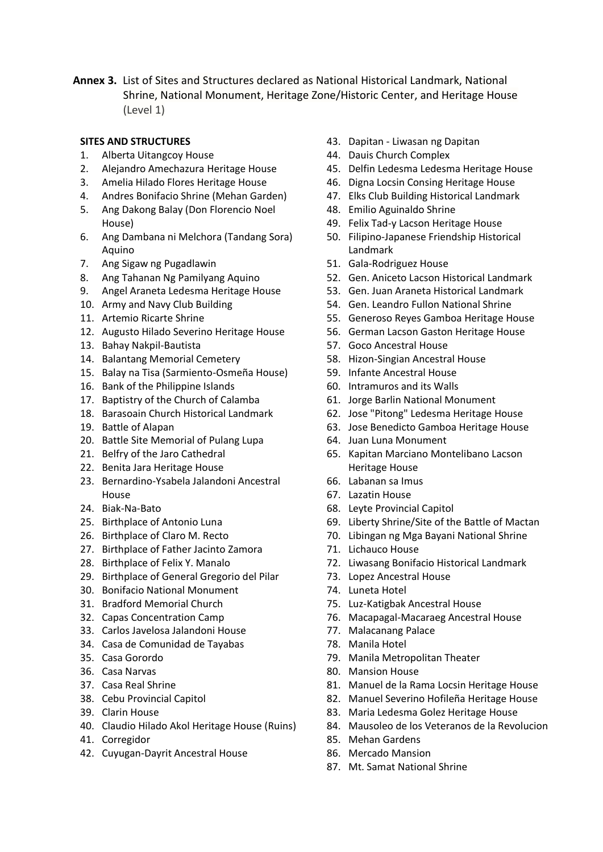**Annex 3.** List of Sites and Structures declared as National Historical Landmark, National Shrine, National Monument, Heritage Zone/Historic Center, and Heritage House (Level 1)

## **SITES AND STRUCTURES**

- 1. [Alberta Uitangcoy House](http://nhcphistoricsites.blogspot.com/search/label/Alberta%20Uitangcoy%20House*)
- 2. [Alejandro Amechazura](http://nhcphistoricsites.blogspot.com/search/label/Alejandro%20Amechazura%20Heritage%20House*) Heritage House
- 3. [Amelia Hilado Flores Heritage House](http://nhcphistoricsites.blogspot.com/search/label/Amelia%20Hilado%20Flores%20Heritage%20House*)
- 4. [Andres Bonifacio Shrine \(Mehan Garden\)](http://nhcphistoricsites.blogspot.com/search/label/Andres%20Bonifacio%20Shrine%20%28Mehan%20Garden%29*)
- 5. [Ang Dakong Balay \(Don Florencio Noel](http://nhcphistoricsites.blogspot.com/search/label/Ang%20Dakong%20Balay%20%28Don%20Florencio%20Noel%20House%29*)  [House\)](http://nhcphistoricsites.blogspot.com/search/label/Ang%20Dakong%20Balay%20%28Don%20Florencio%20Noel%20House%29*)
- 6. [Ang Dambana ni Melchora \(Tandang Sora\)](http://nhcphistoricsites.blogspot.com/search/label/Ang%20Dambana%20ni%20Melchora%20%28Tandang%20Sora%29%20Aquino*)  [Aquino](http://nhcphistoricsites.blogspot.com/search/label/Ang%20Dambana%20ni%20Melchora%20%28Tandang%20Sora%29%20Aquino*)
- 7. [Ang Sigaw ng Pugadlawin](http://nhcphistoricsites.blogspot.com/search/label/Ang%20Sigaw%20ng%20Pugadlawin*)
- 8. [Ang Tahanan Ng Pamilyang Aquino](http://nhcphistoricsites.blogspot.com/search/label/Ang%20Tahanan%20Ng%20Pamilyang%20Aquino*)
- 9. [Angel Araneta Ledesma Heritage House](http://nhcphistoricsites.blogspot.com/search/label/Angel%20Araneta%20Ledesma%20Heritage%20House*)
- 10. [Army and Navy Club Building](http://nhcphistoricsites.blogspot.com/search/label/Army%20and%20Navy%20Club%20Building*)
- 11. [Artemio Ricarte Shrine](http://nhcphistoricsites.blogspot.com/search/label/Artemio%20Ricarte%20Shrine*)
- 12. [Augusto Hilado Severino Heritage House](http://nhcphistoricsites.blogspot.com/search/label/Augusto%20Hilado%20Severino%20Heritage%20House*)
- 13. [Bahay Nakpil-Bautista](http://nhcphistoricsites.blogspot.com/search/label/Bahay%20Nakpil-Bautista*)
- 14. [Balantang Memorial Cemetery](http://nhcphistoricsites.blogspot.com/search/label/Balantang%20Memorial%20Cemetery*)
- 15. [Balay na Tisa \(Sarmiento-Osmeña House\)](http://nhcphistoricsites.blogspot.com/search/label/Balay%20na%20Tisa%20%28Sarmiento-Osme%C3%B1a%20House%29*)
- 16. [Bank of the Philippine Islands](http://nhcphistoricsites.blogspot.com/search/label/Bank%20of%20the%20Philippine%20Islands*)
- 17. [Baptistry of the Church of Calamba](http://nhcphistoricsites.blogspot.com/search/label/Baptistry%20of%20the%20Church%20of%20Calamba*)
- 18. [Barasoain Church Historical Landmark](http://nhcphistoricsites.blogspot.com/search/label/Barasoain%20Church%20Historical%20Landmark*)
- 19. [Battle of Alapan](http://nhcphistoricsites.blogspot.com/search/label/Battle%20of%20Alapan*)
- 20. [Battle Site Memorial of Pulang Lupa](http://nhcphistoricsites.blogspot.com/search/label/Battle%20Site%20Memorial%20of%20Pulang%20Lupa*)
- 21. [Belfry of the Jaro Cathedral](http://nhcphistoricsites.blogspot.com/search/label/Belfry%20of%20the%20Jaro%20Cathedral*)
- 22. [Benita Jara Heritage House](http://nhcphistoricsites.blogspot.com/search/label/Benita%20Jara%20Heritage%20House*)
- 23. [Bernardino-Ysabela Jalandoni Ancestral](http://nhcphistoricsites.blogspot.com/search/label/Bernardino-Ysabela%20Jalandoni%20Ancestral%20House*)  [House](http://nhcphistoricsites.blogspot.com/search/label/Bernardino-Ysabela%20Jalandoni%20Ancestral%20House*)
- 24. [Biak-Na-Bato](http://nhcphistoricsites.blogspot.com/search/label/Biak-Na-Bato*)
- 25. [Birthplace of Antonio Luna](http://nhcphistoricsites.blogspot.com/search/label/Birthplace%20of%20Antonio%20Luna*)
- 26. [Birthplace of Claro M. Recto](http://nhcphistoricsites.blogspot.com/search/label/Birthplace%20of%20Claro%20M.%20Recto*)
- 27. [Birthplace of Father Jacinto Zamora](http://nhcphistoricsites.blogspot.com/search/label/Birthplace%20of%20Father%20Jacinto%20Zamora*)
- 28. [Birthplace of Felix Y. Manalo](http://nhcphistoricsites.blogspot.com/search/label/Birthplace%20of%20Felix%20Y.%20Manalo*)
- 29. [Birthplace of General Gregorio del Pilar](http://nhcphistoricsites.blogspot.com/search/label/Birthplace%20of%20General%20Gregorio%20del%20Pilar*)
- 30. [Bonifacio National Monument](http://nhcphistoricsites.blogspot.com/search/label/Bonifacio%20National%20Monument*)
- 31. [Bradford Memorial Church](http://nhcphistoricsites.blogspot.com/search/label/Bradford%20Memorial%20Church*)
- 32. [Capas Concentration Camp](http://nhcphistoricsites.blogspot.com/search/label/Capas%20Concentration%20Camp*)
- 33. [Carlos Javelosa Jalandoni House](http://nhcphistoricsites.blogspot.com/search/label/Carlos%20Javelosa%20Jalandoni%20House*)
- 34. [Casa de Comunidad de Tayabas](http://nhcphistoricsites.blogspot.com/search/label/Casa%20de%20Comunidad%20de%20Tayabas*)
- 35. [Casa Gorordo](http://nhcphistoricsites.blogspot.com/search/label/Casa%20Gorordo*)
- 36. [Casa Narvas](http://nhcphistoricsites.blogspot.com/search/label/Casa%20Narvas*)
- 37. [Casa Real Shrine](http://nhcphistoricsites.blogspot.com/search/label/Casa%20Real%20Shrine*)
- 38. [Cebu Provincial Capitol](http://nhcphistoricsites.blogspot.com/search/label/Cebu%20Provincial%20Capitol*)
- 39. [Clarin House](http://nhcphistoricsites.blogspot.com/search/label/Clarin%20House*)
- 40. [Claudio Hilado Akol Heritage House \(Ruins\)](http://nhcphistoricsites.blogspot.com/search/label/Claudio%20Hilado%20Akol%20Heritage%20House%20%28Ruins%29*)
- 41. [Corregidor](http://nhcphistoricsites.blogspot.com/search/label/Corregidor*)
- 42. [Cuyugan-Dayrit Ancestral House](http://nhcphistoricsites.blogspot.com/search/label/Cuyugan-Dayrit%20Ancestral%20House*)
- 43. Dapitan [Liwasan ng Dapitan](http://nhcphistoricsites.blogspot.com/search/label/Dapitan%20-%20Liwasan%20ng%20Dapitan*)
- 44. [Dauis Church Complex](http://nhcphistoricsites.blogspot.com/search/label/Dauis%20Church%20Complex*)
- 45. [Delfin Ledesma Ledesma Heritage House](http://nhcphistoricsites.blogspot.com/search/label/Delfin%20Ledesma%20Ledesma%20Heritage%20House*)
- 46. [Digna Locsin Consing Heritage House](http://nhcphistoricsites.blogspot.com/search/label/Digna%20Locsin%20Consing%20Heritage%20House*)
- 47. [Elks Club Building Historical Landmark](http://nhcphistoricsites.blogspot.com/search/label/Elks%20Club%20Building%20Historical%20Landmark*)
- 48. [Emilio Aguinaldo Shrine](http://nhcphistoricsites.blogspot.com/search/label/Emilio%20Aguinaldo%20Shrine*)
- 49. [Felix Tad-y Lacson Heritage House](http://nhcphistoricsites.blogspot.com/search/label/Felix%20Tad-y%20Lacson%20Heritage%20House*)
- 50. [Filipino-Japanese Friendship Historical](http://nhcphistoricsites.blogspot.com/search/label/Filipino-Japanese%20Friendship%20Historical%20Landmark*)  [Landmark](http://nhcphistoricsites.blogspot.com/search/label/Filipino-Japanese%20Friendship%20Historical%20Landmark*)
- 51. [Gala-Rodriguez House](http://nhcphistoricsites.blogspot.com/search/label/Gala-Rodriguez%20House*)
- 52. [Gen. Aniceto Lacson Historical Landmark](http://nhcphistoricsites.blogspot.com/search/label/Gen.%20Aniceto%20Lacson%20Historical%20Landmark*)
- 53. [Gen. Juan Araneta Historical Landmark](http://nhcphistoricsites.blogspot.com/search/label/Gen.%20Juan%20Araneta%20Historical%20Landmark*)
- 54. [Gen. Leandro Fullon National Shrine](http://nhcphistoricsites.blogspot.com/search/label/Gen.%20Leandro%20Fullon%20National%20Shrine*)
- 55. [Generoso Reyes Gamboa Heritage House](http://nhcphistoricsites.blogspot.com/search/label/Generoso%20Reyes%20Gamboa%20Heritage%20House*)
- 56. [German Lacson Gaston Heritage House](http://nhcphistoricsites.blogspot.com/search/label/German%20Lacson%20Gaston%20Heritage%20House*)
- 57. Goco [Ancestral House](http://nhcphistoricsites.blogspot.com/search/label/Goco%20%20Ancestral%20House*)
- 58. [Hizon-Singian Ancestral House](http://nhcphistoricsites.blogspot.com/search/label/Hizon-Singian%20Ancestral%20House*)
- 59. [Infante Ancestral House](http://nhcphistoricsites.blogspot.com/search/label/Infante%20Ancestral%20House*)
- 60. [Intramuros and its Walls](http://nhcphistoricsites.blogspot.com/search/label/Intramuros%20and%20its%20Walls*)
- 61. [Jorge Barlin National Monument](http://nhcphistoricsites.blogspot.com/search/label/Jorge%20Barlin%20National%20Monument*)
- 62. [Jose "Pitong" Ledesma Heritage House](http://nhcphistoricsites.blogspot.com/search/label/Jose%20%22Pitong%22%20Ledesma%20Heritage%20House*)
- 63. [Jose Benedicto Gamboa Heritage House](http://nhcphistoricsites.blogspot.com/search/label/Jose%20Benedicto%20Gamboa%20Heritage%20House*)
- 64. [Juan Luna Monument](http://nhcphistoricsites.blogspot.com/search/label/Juan%20Luna%20Monument*)
- 65. [Kapitan Marciano Montelibano Lacson](http://nhcphistoricsites.blogspot.com/search/label/Kapitan%20Marciano%20Montelibano%20Lacson%20Heritage%20House*)  [Heritage House](http://nhcphistoricsites.blogspot.com/search/label/Kapitan%20Marciano%20Montelibano%20Lacson%20Heritage%20House*)
- 66. [Labanan sa Imus](http://nhcphistoricsites.blogspot.com/search/label/Labanan%20sa%20Imus*)
- 67. [Lazatin House](http://nhcphistoricsites.blogspot.com/search/label/Lazatin%20House*)
- 68. [Leyte Provincial Capitol](http://nhcphistoricsites.blogspot.com/search/label/Leyte%20Provincial%20Capitol*)
- 69. [Liberty Shrine/Site of the Battle of Mactan](http://nhcphistoricsites.blogspot.com/search/label/Liberty%20Shrine%2FSite%20of%20the%20Battle%20of%20Mactan*)
- 70. [Libingan ng Mga Bayani National Shrine](http://nhcphistoricsites.blogspot.com/search/label/Libingan%20ng%20Mga%20Bayani%20National%20Shrine*)
- 71. [Lichauco House](http://nhcphistoricsites.blogspot.com/search/label/Lichauco%20House*)
- 72. [Liwasang Bonifacio Historical Landmark](http://nhcphistoricsites.blogspot.com/search/label/Liwasang%20Bonifacio%20Historical%20Landmark*)
- 73. [Lopez Ancestral House](http://nhcphistoricsites.blogspot.com/search/label/Lopez%20Ancestral%20House*)
- 74. [Luneta Hotel](http://nhcphistoricsites.blogspot.com/search/label/Luneta%20Hotel*)
- 75. [Luz-Katigbak Ancestral House](http://nhcphistoricsites.blogspot.com/search/label/Luz-Katigbak%20Ancestral%20House*)
- 76. [Macapagal-Macaraeg Ancestral House](http://nhcphistoricsites.blogspot.com/search/label/Macapagal-Macaraeg%20Ancestral%20House*)
- 77. [Malacanang Palace](http://nhcphistoricsites.blogspot.com/search/label/Malacanang%20Palace*)
- 78. [Manila Hotel](http://nhcphistoricsites.blogspot.com/search/label/Manila%20Hotel*)
- 79. [Manila Metropolitan Theater](http://nhcphistoricsites.blogspot.com/search/label/Manila%20Metropolitan%20Theater*)
- 80. [Mansion House](http://nhcphistoricsites.blogspot.com/search/label/Mansion%20House*)
- 81. [Manuel de la Rama Locsin Heritage House](http://nhcphistoricsites.blogspot.com/search/label/Manuel%20de%20la%20Rama%20Locsin%20Heritage%20House*)
- 82. [Manuel Severino Hofileña](http://nhcphistoricsites.blogspot.com/search/label/Manuel%20Severino%20Hofile%C3%B1a%20Heritage%20House*) Heritage House
- 83. [Maria Ledesma Golez Heritage House](http://nhcphistoricsites.blogspot.com/search/label/Maria%20Ledesma%20Golez%20Heritage%20House*)
- 84. [Mausoleo de los Veteranos de la Revolucion](http://nhcphistoricsites.blogspot.com/search/label/Mausoleo%20de%20los%20Veteranos%20de%20la%20Revolucion*)
- 85. [Mehan Gardens](http://nhcphistoricsites.blogspot.com/search/label/Mehan%20Gardens*)
- 86. [Mercado Mansion](http://nhcphistoricsites.blogspot.com/search/label/Mercado%20Mansion*)
- 87. [Mt. Samat National Shrine](http://nhcphistoricsites.blogspot.com/search/label/Mt.%20Samat%20National%20Shrine*)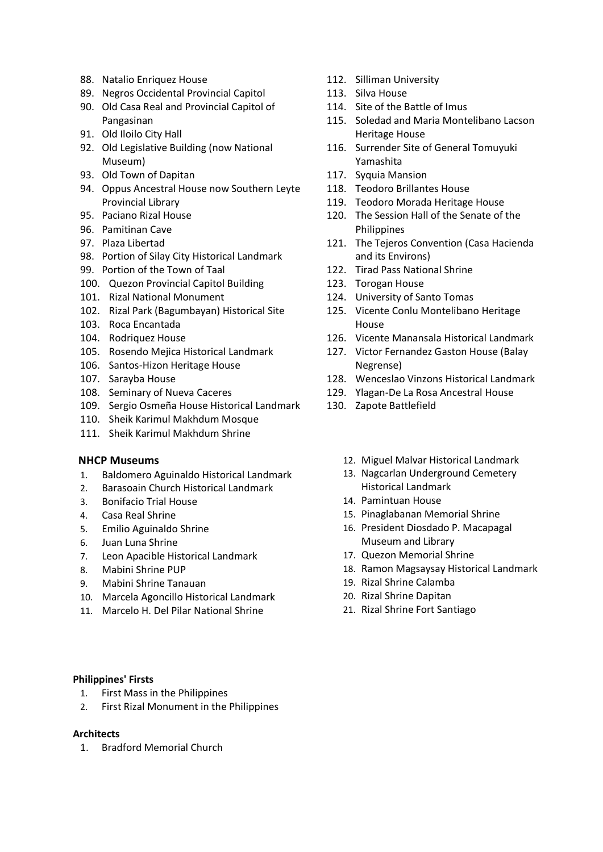- 88. [Natalio Enriquez House](http://nhcphistoricsites.blogspot.com/search/label/Natalio%20Enriquez%20House*)
- 89. [Negros Occidental Provincial Capitol](http://nhcphistoricsites.blogspot.com/search/label/Negros%20Occidental%20Provincial%20Capitol*)
- 90. [Old Casa Real and Provincial Capitol of](http://nhcphistoricsites.blogspot.com/search/label/Old%20Casa%20Real%20and%20Provincial%20Capitol%20of%20Pangasinan*)  [Pangasinan](http://nhcphistoricsites.blogspot.com/search/label/Old%20Casa%20Real%20and%20Provincial%20Capitol%20of%20Pangasinan*)
- 91. [Old Iloilo City Hall](http://nhcphistoricsites.blogspot.com/search/label/Old%20Iloilo%20City%20Hall*)
- 92. [Old Legislative Building \(now National](http://nhcphistoricsites.blogspot.com/search/label/Old%20Legislative%20Building%20%28now%20National%20Museum%29*)  [Museum\)](http://nhcphistoricsites.blogspot.com/search/label/Old%20Legislative%20Building%20%28now%20National%20Museum%29*)
- 93. [Old Town of Dapitan](http://nhcphistoricsites.blogspot.com/search/label/Old%20Town%20of%20Dapitan*)
- 94. [Oppus Ancestral House now Southern Leyte](http://nhcphistoricsites.blogspot.com/search/label/Oppus%20Ancestral%20House%20now%20Southern%20Leyte%20Provincial%20Library*)  [Provincial Library](http://nhcphistoricsites.blogspot.com/search/label/Oppus%20Ancestral%20House%20now%20Southern%20Leyte%20Provincial%20Library*)
- 95. [Paciano Rizal House](http://nhcphistoricsites.blogspot.com/search/label/Paciano%20Rizal%20House*)
- 96. [Pamitinan Cave](http://nhcphistoricsites.blogspot.com/search/label/Pamitinan%20Cave*)
- 97. [Plaza Libertad](http://nhcphistoricsites.blogspot.com/search/label/Plaza%20Libertad*)
- 98. [Portion of Silay City Historical Landmark](http://nhcphistoricsites.blogspot.com/search/label/Portion%20of%20Silay%20City%20Historical%20Landmark*)
- 99. [Portion of the Town of Taal](http://nhcphistoricsites.blogspot.com/search/label/Portion%20of%20the%20Town%20of%20Taal*)
- 100. [Quezon Provincial Capitol Building](http://nhcphistoricsites.blogspot.com/search/label/Quezon%20Provincial%20Capitol%20Building*)
- 101. [Rizal National Monument](http://nhcphistoricsites.blogspot.com/search/label/Rizal%20National%20Monument*)
- 102. [Rizal Park \(Bagumbayan\) Historical Site](http://nhcphistoricsites.blogspot.com/search/label/Rizal%20Park%20%28Bagumbayan%29%20Historical%20Site*)
- 103. [Roca Encantada](http://nhcphistoricsites.blogspot.com/search/label/Roca%20Encantada*)
- 104. [Rodriquez House](http://nhcphistoricsites.blogspot.com/search/label/Rodriquez%20House*)
- 105. [Rosendo Mejica Historical Landmark](http://nhcphistoricsites.blogspot.com/search/label/Rosendo%20Mejica%20Historical%20Landmark*)
- 106. [Santos-Hizon Heritage House](http://nhcphistoricsites.blogspot.com/search/label/Santos-Hizon%20Heritage%20House*)
- 107. [Sarayba House](http://nhcphistoricsites.blogspot.com/search/label/Sarayba%20House*)
- 108. [Seminary of Nueva Caceres](http://nhcphistoricsites.blogspot.com/search/label/Seminary%20of%20Nueva%20Caceres*)
- 109. [Sergio Osmeña House Historical Landmark](http://nhcphistoricsites.blogspot.com/search/label/Sergio%20Osme%C3%B1a%20House%20Historical%20Landmark*)
- 110. [Sheik Karimul Makhdum Mosque](http://nhcphistoricsites.blogspot.com/search/label/Sheik%20Karimul%20Makhdum%20Mosque*)
- 111. [Sheik Karimul Makhdum](http://nhcphistoricsites.blogspot.com/search/label/Sheik%20Karimul%20Makhdum%20Shrine*) Shrine

### **NHCP Museums**

- 1. [Baldomero Aguinaldo Historical Landmark](http://nhcphistoricsites.blogspot.com/search/label/Baldomero%20Aguinaldo%20Historical%20Landmark*)
- 2. [Barasoain Church Historical Landmark](http://nhcphistoricsites.blogspot.com/search/label/Barasoain%20Church%20Historical%20Landmark*)
- 3. [Bonifacio Trial House](http://nhcphistoricsites.blogspot.com/search/label/Bonifacio%20Trial%20House*)
- 4. [Casa Real Shrine](http://nhcphistoricsites.blogspot.com/search/label/Casa%20Real%20Shrine*)
- 5. [Emilio Aguinaldo Shrine](http://nhcphistoricsites.blogspot.com/search/label/Emilio%20Aguinaldo%20Shrine*)
- 6. [Juan Luna Shrine](http://nhcphistoricsites.blogspot.com/search/label/Juan%20Luna%20Shrine*)
- 7. [Leon Apacible Historical Landmark](http://nhcphistoricsites.blogspot.com/search/label/Leon%20Apacible%20Historical%20Landmark*)
- 8. [Mabini Shrine PUP](http://nhcphistoricsites.blogspot.com/search/label/Mabini%20Shrine%20PUP*)
- 9. [Mabini Shrine Tanauan](http://nhcphistoricsites.blogspot.com/search/label/Mabini%20Shrine%20Tanauan*)
- 10. [Marcela Agoncillo Historical Landmark](http://nhcphistoricsites.blogspot.com/search/label/Marcela%20Agoncillo%20Historical%20Landmark*)
- 11. [Marcelo H. Del Pilar National Shrine](http://nhcphistoricsites.blogspot.com/search/label/Marcelo%20H.%20Del%20Pilar%20National%20Shrine*)

### **Philippines' Firsts**

- 1. [First Mass in the Philippines](http://nhcphistoricsites.blogspot.com/search/label/First%20Mass%20in%20the%20Philippines*)
- 2. [First Rizal Monument in the Philippines](http://nhcphistoricsites.blogspot.com/search/label/First%20Rizal%20Monument%20in%20the%20Philippines*)

## **Architects**

1. [Bradford Memorial Church](http://nhcphistoricsites.blogspot.com/search/label/Bradford%20Memorial%20Church*)

- 112. [Silliman University](http://nhcphistoricsites.blogspot.com/search/label/Silliman%20University*)
- 113. [Silva House](http://nhcphistoricsites.blogspot.com/search/label/Silva%20House*)
- 114. [Site of the Battle of Imus](http://nhcphistoricsites.blogspot.com/search/label/Site%20of%20the%20Battle%20of%20Imus*)
- 115. [Soledad and Maria Montelibano Lacson](http://nhcphistoricsites.blogspot.com/search/label/Soledad%20and%20Maria%20Montelibano%20Lacson%20Heritage%20House*) [Heritage House](http://nhcphistoricsites.blogspot.com/search/label/Soledad%20and%20Maria%20Montelibano%20Lacson%20Heritage%20House*)
- 116. [Surrender Site of General Tomuyuki](http://nhcphistoricsites.blogspot.com/search/label/Surrender%20Site%20of%20General%20Tomuyuki%20Yamashita*)  [Yamashita](http://nhcphistoricsites.blogspot.com/search/label/Surrender%20Site%20of%20General%20Tomuyuki%20Yamashita*)
- 117. [Syquia Mansion](http://nhcphistoricsites.blogspot.com/search/label/Syquia%20Mansion*)
- 118. [Teodoro Brillantes House](http://nhcphistoricsites.blogspot.com/search/label/Teodoro%20Brillantes%20House*)
- 119. [Teodoro Morada Heritage House](http://nhcphistoricsites.blogspot.com/search/label/Teodoro%20Morada%20Heritage%20House*)
- 120. [The Session Hall of the Senate of the](http://nhcphistoricsites.blogspot.com/search/label/The%20Session%20Hall%20of%20the%20Senate%20of%20the%20Philippines*)  [Philippines](http://nhcphistoricsites.blogspot.com/search/label/The%20Session%20Hall%20of%20the%20Senate%20of%20the%20Philippines*)
- 121. [The Tejeros Convention \(Casa Hacienda](http://nhcphistoricsites.blogspot.com/search/label/The%20Tejeros%20Convention%20%28Casa%20Hacienda%20and%20its%20Environs%29*)  [and its Environs\)](http://nhcphistoricsites.blogspot.com/search/label/The%20Tejeros%20Convention%20%28Casa%20Hacienda%20and%20its%20Environs%29*)
- 122. [Tirad Pass National Shrine](http://nhcphistoricsites.blogspot.com/search/label/Tirad%20Pass%20National%20Shrine*)
- 123. [Torogan House](http://nhcphistoricsites.blogspot.com/search/label/Torogan%20House*)
- 124. [University of Santo Tomas](http://nhcphistoricsites.blogspot.com/search/label/University%20of%20Santo%20Tomas*)
- 125. [Vicente Conlu Montelibano Heritage](http://nhcphistoricsites.blogspot.com/search/label/Vicente%20Conlu%20Montelibano%20Heritage%20House*)  [House](http://nhcphistoricsites.blogspot.com/search/label/Vicente%20Conlu%20Montelibano%20Heritage%20House*)
- 126. [Vicente Manansala Historical Landmark](http://nhcphistoricsites.blogspot.com/search/label/Vicente%20Manansala%20Historical%20Landmark*)
- 127. [Victor Fernandez Gaston House \(Balay](http://nhcphistoricsites.blogspot.com/search/label/Victor%20Fernandez%20Gaston%20House%20%28Balay%20Negrense%29*)  [Negrense\)](http://nhcphistoricsites.blogspot.com/search/label/Victor%20Fernandez%20Gaston%20House%20%28Balay%20Negrense%29*)
- 128. [Wenceslao Vinzons Historical Landmark](http://nhcphistoricsites.blogspot.com/search/label/Wenceslao%20Vinzons%20Historical%20Landmark*)
- 129. [Ylagan-De La Rosa Ancestral House](http://nhcphistoricsites.blogspot.com/search/label/Ylagan-De%20La%20Rosa%20Ancestral%20House*)
- 130. [Zapote Battlefield](http://nhcphistoricsites.blogspot.com/search/label/Zapote%20Battlefield*)
	- 12. [Miguel Malvar Historical Landmark](http://nhcphistoricsites.blogspot.com/search/label/Miguel%20Malvar%20Historical%20Landmark*)
	- 13. [Nagcarlan Underground Cemetery](http://nhcphistoricsites.blogspot.com/search/label/Nagcarlan%20Underground%20Cemetery%20Historical%20Landmark*)  [Historical Landmark](http://nhcphistoricsites.blogspot.com/search/label/Nagcarlan%20Underground%20Cemetery%20Historical%20Landmark*)
	- 14. [Pamintuan House](http://nhcphistoricsites.blogspot.com/search/label/Pamintuan%20House*)
	- 15. [Pinaglabanan Memorial Shrine](http://nhcphistoricsites.blogspot.com/search/label/Pinaglabanan%20Memorial%20Shrine*)
	- 16. [President Diosdado P. Macapagal](http://nhcphistoricsites.blogspot.com/search/label/President%20Diosdado%20P.%20Macapagal%20Museum%20and%20Library*)  [Museum and Library](http://nhcphistoricsites.blogspot.com/search/label/President%20Diosdado%20P.%20Macapagal%20Museum%20and%20Library*)
	- 17. [Quezon Memorial Shrine](http://nhcphistoricsites.blogspot.com/search/label/Quezon%20Memorial%20Shrine*)
	- 18. [Ramon Magsaysay Historical Landmark](http://nhcphistoricsites.blogspot.com/search/label/Ramon%20Magsaysay%20Historical%20Landmark*)
	- 19. [Rizal Shrine Calamba](http://nhcphistoricsites.blogspot.com/search/label/Rizal%20Shrine%20Calamba*)
	- 20. [Rizal Shrine Dapitan](http://nhcphistoricsites.blogspot.com/search/label/Rizal%20Shrine%20Dapitan*)
	- 21. [Rizal Shrine Fort Santiago](http://nhcphistoricsites.blogspot.com/search/label/Rizal%20Shrine%20Fort%20Santiago*)